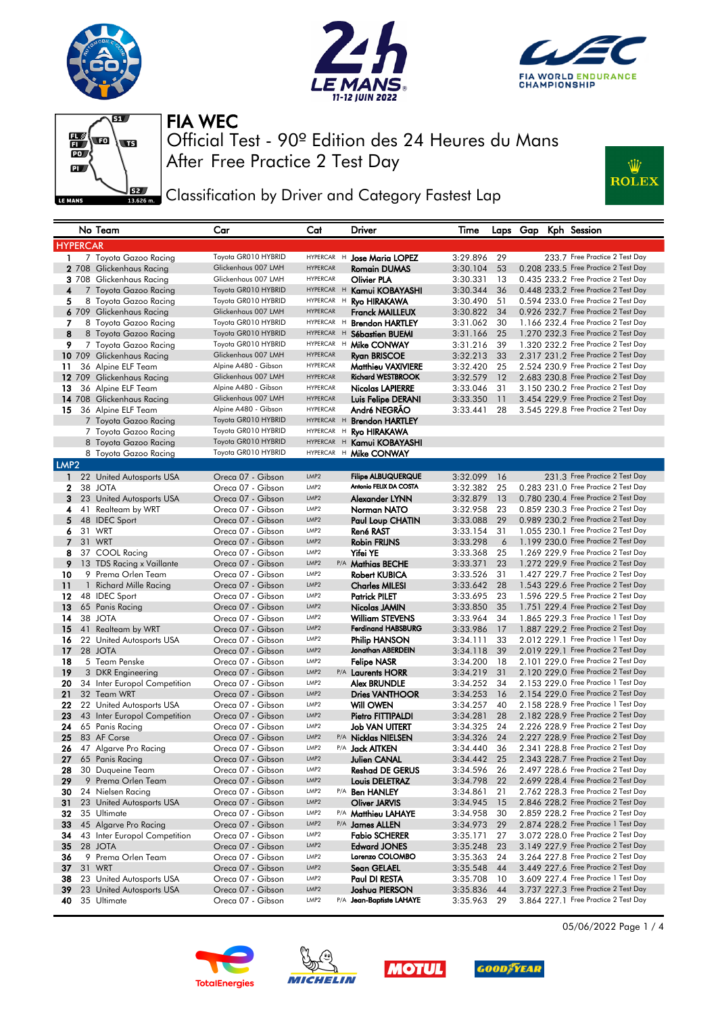









Classification by Driver and Category Fastest Lap

|                  |                 | No Team                      | Car                  | Cat              |   | Driver                    | Time     |      |  | Laps Gap Kph Session                                                         |
|------------------|-----------------|------------------------------|----------------------|------------------|---|---------------------------|----------|------|--|------------------------------------------------------------------------------|
|                  | <b>HYPERCAR</b> |                              |                      |                  |   |                           |          |      |  |                                                                              |
| 1.               |                 | 7 Toyota Gazoo Racing        | Toyota GR010 HYBRID  | <b>HYPERCAR</b>  | H | <b>Jose Maria LOPEZ</b>   | 3:29.896 | 29   |  | 233.7 Free Practice 2 Test Day                                               |
|                  |                 | 2 708 Glickenhaus Racing     | Glickenhaus 007 LMH  | <b>HYPERCAR</b>  |   | <b>Romain DUMAS</b>       | 3:30.104 | 53   |  | 0.208 233.5 Free Practice 2 Test Day                                         |
|                  |                 | 3 708 Glickenhaus Racing     | Glickenhaus 007 LMH  | <b>HYPERCAR</b>  |   | Olivier PLA               | 3:30.331 | 13   |  | 0.435 233.2 Free Practice 2 Test Day                                         |
| 4                |                 | 7 Toyota Gazoo Racing        | Toyota GR010 HYBRID  | HYPERCAR H       |   | Kamui KOBAYASHI           | 3:30.344 | 36   |  | 0.448 233.2 Free Practice 2 Test Day                                         |
| 5                |                 | 8 Toyota Gazoo Racing        | Toyota GR010 HYBRID  | HYPERCAR H       |   | Ryo HIRAKAWA              | 3:30.490 | 51   |  | 0.594 233.0 Free Practice 2 Test Day                                         |
|                  |                 | 6 709 Glickenhaus Racing     | Glickenhaus 007 LMH  | <b>HYPERCAR</b>  |   | <b>Franck MAILLEUX</b>    | 3:30.822 | 34   |  | 0.926 232.7 Free Practice 2 Test Day                                         |
| 7                |                 | 8 Toyota Gazoo Racing        | Toyota GR010 HYBRID  | HYPERCAR H       |   | <b>Brendon HARTLEY</b>    | 3:31.062 | 30   |  | 1.166 232.4 Free Practice 2 Test Day                                         |
| 8                |                 | 8 Toyota Gazoo Racing        | Toyota GR010 HYBRID  | HYPERCAR H       |   | Sébastien BUEMI           | 3:31.166 | 25   |  | 1.270 232.3 Free Practice 2 Test Day                                         |
| 9                |                 | 7 Toyota Gazoo Racing        | Toyota GR010 HYBRID  | HYPERCAR H       |   | Mike CONWAY               | 3:31.216 | 39   |  | 1.320 232.2 Free Practice 2 Test Day                                         |
|                  |                 | 10 709 Glickenhaus Racing    | Glickenhaus 007 LMH  | <b>HYPERCAR</b>  |   | <b>Ryan BRISCOE</b>       | 3:32.213 | 33   |  | 2.317 231.2 Free Practice 2 Test Day                                         |
| 11               |                 | 36 Alpine ELF Team           | Alpine A480 - Gibson | <b>HYPERCAR</b>  |   | <b>Matthieu VAXIVIERE</b> | 3:32.420 | 25   |  | 2.524 230.9 Free Practice 2 Test Day                                         |
|                  |                 | 12 709 Glickenhaus Racing    | Glickenhaus 007 LMH  | <b>HYPERCAR</b>  |   | <b>Richard WESTBROOK</b>  | 3:32.579 | 12   |  | 2.683 230.8 Free Practice 2 Test Day                                         |
| 13               |                 | 36 Alpine ELF Team           | Alpine A480 - Gibson | <b>HYPERCAR</b>  |   | <b>Nicolas LAPIERRE</b>   | 3:33.046 | 31   |  | 3.150 230.2 Free Practice 2 Test Day                                         |
|                  |                 | 14 708 Glickenhaus Racing    | Glickenhaus 007 LMH  | <b>HYPERCAR</b>  |   | Luis Felipe DERANI        | 3:33.350 | 11   |  | 3.454 229.9 Free Practice 2 Test Day                                         |
| 15               |                 | 36 Alpine ELF Team           | Alpine A480 - Gibson | <b>HYPERCAR</b>  |   | André NEGRAO              | 3:33.441 | 28   |  | 3.545 229.8 Free Practice 2 Test Day                                         |
|                  |                 | 7 Toyota Gazoo Racing        | Toyota GR010 HYBRID  | HYPERCAR H       |   | <b>Brendon HARTLEY</b>    |          |      |  |                                                                              |
|                  |                 | 7 Toyota Gazoo Racing        | Toyota GR010 HYBRID  | HYPERCAR H       |   | Ryo HIRAKAWA              |          |      |  |                                                                              |
|                  |                 | 8 Toyota Gazoo Racing        | Toyota GR010 HYBRID  | HYPERCAR H       |   | Kamui KOBAYASHI           |          |      |  |                                                                              |
|                  |                 | 8 Toyota Gazoo Racing        | Toyota GR010 HYBRID  | HYPERCAR H       |   | Mike CONWAY               |          |      |  |                                                                              |
| LMP <sub>2</sub> |                 |                              |                      |                  |   |                           |          |      |  |                                                                              |
| $\mathbf{1}$     |                 | 22 United Autosports USA     | Oreca 07 - Gibson    | LMP <sub>2</sub> |   | <b>Filipe ALBUQUERQUE</b> | 3:32.099 | - 16 |  | 231.3 Free Practice 2 Test Day                                               |
| 2                |                 | 38 JOTA                      | Oreca 07 - Gibson    | LMP <sub>2</sub> |   | Antonio FELIX DA COSTA    | 3:32.382 | 25   |  | 0.283 231.0 Free Practice 2 Test Day                                         |
| 3                |                 | 23 United Autosports USA     | Oreca 07 - Gibson    | LMP <sub>2</sub> |   | Alexander LYNN            | 3:32.879 | 13   |  | 0.780 230.4 Free Practice 2 Test Day                                         |
| 4                |                 | 41 Realteam by WRT           | Oreca 07 - Gibson    | LMP <sub>2</sub> |   | Norman NATO               | 3:32.958 | 23   |  | 0.859 230.3 Free Practice 2 Test Day                                         |
| 5                |                 | 48 IDEC Sport                | Oreca 07 - Gibson    | LMP <sub>2</sub> |   | Paul Loup CHATIN          | 3:33.088 | 29   |  | 0.989 230.2 Free Practice 2 Test Day                                         |
| 6                |                 | 31 WRT                       | Oreca 07 - Gibson    | LMP <sub>2</sub> |   | <b>René RAST</b>          | 3:33.154 | 31   |  | 1.055 230.1 Free Practice 2 Test Day                                         |
| 7                |                 | 31 WRT                       | Oreca 07 - Gibson    | LMP <sub>2</sub> |   | Robin FRIJNS              | 3:33.298 | 6    |  | 1.199 230.0 Free Practice 2 Test Day                                         |
| 8                |                 | 37 COOL Racing               | Oreca 07 - Gibson    | LMP <sub>2</sub> |   | Yifei YE                  | 3:33.368 | 25   |  | 1.269 229.9 Free Practice 2 Test Day                                         |
| 9                |                 | 13 TDS Racing x Vaillante    | Oreca 07 - Gibson    | LMP <sub>2</sub> |   | P/A Mathias BECHE         | 3:33.371 | 23   |  | 1.272 229.9 Free Practice 2 Test Day                                         |
| 10               |                 | 9 Prema Orlen Team           | Oreca 07 - Gibson    | LMP <sub>2</sub> |   | <b>Robert KUBICA</b>      | 3:33.526 | 31   |  | 1.427 229.7 Free Practice 2 Test Day                                         |
| 11               |                 | 1 Richard Mille Racing       | Oreca 07 - Gibson    | LMP <sub>2</sub> |   | <b>Charles MILESI</b>     | 3:33.642 | 28   |  | 1.543 229.6 Free Practice 2 Test Day                                         |
| 12               |                 | 48 IDEC Sport                | Oreca 07 - Gibson    | LMP <sub>2</sub> |   | <b>Patrick PILET</b>      | 3:33.695 | 23   |  | 1.596 229.5 Free Practice 2 Test Day                                         |
| 13               |                 | 65 Panis Racing              | Oreca 07 - Gibson    | LMP <sub>2</sub> |   | Nicolas JAMIN             | 3:33.850 | 35   |  | 1.751 229.4 Free Practice 2 Test Day                                         |
| 14               |                 | 38 JOTA                      | Oreca 07 - Gibson    | LMP <sub>2</sub> |   | <b>William STEVENS</b>    | 3:33.964 | 34   |  | 1.865 229.3 Free Practice 1 Test Day                                         |
| 15               |                 | 41 Realteam by WRT           | Oreca 07 - Gibson    | LMP <sub>2</sub> |   | <b>Ferdinand HABSBURG</b> | 3:33.986 | 17   |  | 1.887 229.2 Free Practice 2 Test Day                                         |
| 16               |                 | 22 United Autosports USA     | Oreca 07 - Gibson    | LMP <sub>2</sub> |   | <b>Philip HANSON</b>      | 3:34.111 | 33   |  | 2.012 229.1 Free Practice 1 Test Day                                         |
| 17               |                 | 28 JOTA                      | Oreca 07 - Gibson    | LMP <sub>2</sub> |   | Jonathan ABERDEIN         | 3:34.118 | 39   |  | 2.019 229.1 Free Practice 2 Test Day                                         |
| 18               |                 | 5 Team Penske                | Oreca 07 - Gibson    | LMP <sub>2</sub> |   | <b>Felipe NASR</b>        | 3:34.200 | 18   |  | 2.101 229.0 Free Practice 2 Test Day                                         |
| 19               |                 | 3 DKR Engineering            | Oreca 07 - Gibson    | LMP <sub>2</sub> |   | P/A Laurents HORR         | 3:34.219 | 31   |  | 2.120 229.0 Free Practice 2 Test Day                                         |
| 20               |                 | 34 Inter Europol Competition | Oreca 07 - Gibson    | LMP <sub>2</sub> |   | Alex BRUNDLE              | 3:34.252 | 34   |  | 2.153 229.0 Free Practice 1 Test Day                                         |
| 21               |                 | 32 Team WRT                  | Oreca 07 - Gibson    | LMP <sub>2</sub> |   | <b>Dries VANTHOOR</b>     | 3:34.253 | 16   |  | 2.154 229.0 Free Practice 2 Test Day                                         |
| 22               |                 | 22 United Autosports USA     | Oreca 07 - Gibson    | LMP <sub>2</sub> |   | <b>Will OWEN</b>          | 3:34.257 | 40   |  | 2.158 228.9 Free Practice 1 Test Day                                         |
| 23               |                 | 43 Inter Europol Competition | Oreca 07 - Gibson    | LMP <sub>2</sub> |   | Pietro FITTIPALDI         | 3:34.281 | 28   |  | 2.182 228.9 Free Practice 2 Test Day                                         |
| 24               |                 | 65 Panis Racing              | Oreca 07 - Gibson    | LMP <sub>2</sub> |   | <b>Job VAN UITERT</b>     | 3:34.325 | 24   |  | 2.226 228.9 Free Practice 2 Test Day                                         |
| 25               |                 | 83 AF Corse                  | Oreca 07 - Gibson    | LMP <sub>2</sub> |   | P/A Nicklas NIELSEN       | 3:34.326 | 24   |  | 2.227 228.9 Free Practice 2 Test Day                                         |
| 26               |                 | 47 Algarve Pro Racing        | Oreca 07 - Gibson    | LMP <sub>2</sub> |   | P/A Jack AITKEN           | 3:34.440 | 36   |  | 2.341 228.8 Free Practice 2 Test Day                                         |
| 27               |                 | 65 Panis Racing              | Oreca 07 - Gibson    | LMP <sub>2</sub> |   | Julien CANAL              | 3:34.442 | 25   |  | 2.343 228.7 Free Practice 2 Test Day                                         |
| 28               |                 | 30 Duqueine Team             | Oreca 07 - Gibson    | LMP2             |   | <b>Reshad DE GERUS</b>    | 3:34.596 | 26   |  | 2.497 228.6 Free Practice 2 Test Day                                         |
| 29               |                 | 9 Prema Orlen Team           | Oreca 07 - Gibson    | LMP2             |   | Louis DELETRAZ            | 3:34.798 | 22   |  | 2.699 228.4 Free Practice 2 Test Day                                         |
| 30               |                 | 24 Nielsen Racing            | Oreca 07 - Gibson    | LMP <sub>2</sub> |   | P/A <b>Ben HANLEY</b>     | 3:34.861 | 21   |  | 2.762 228.3 Free Practice 2 Test Day                                         |
| 31               |                 | 23 United Autosports USA     | Oreca 07 - Gibson    | LMP2             |   | Oliver JARVIS             | 3:34.945 | 15   |  | 2.846 228.2 Free Practice 2 Test Day                                         |
| 32               |                 | 35 Ultimate                  | Oreca 07 - Gibson    | LMP <sub>2</sub> |   | P/A Matthieu LAHAYE       | 3:34.958 | 30   |  | 2.859 228.2 Free Practice 2 Test Day                                         |
| 33               |                 | 45 Algarve Pro Racing        | Oreca 07 - Gibson    | LMP2             |   | P/A James ALLEN           | 3:34.973 | 29   |  | 2.874 228.2 Free Practice 1 Test Day                                         |
| 34               |                 | 43 Inter Europol Competition | Oreca 07 - Gibson    | LMP <sub>2</sub> |   | <b>Fabio SCHERER</b>      | 3:35.171 | 27   |  | 3.072 228.0 Free Practice 2 Test Day                                         |
| 35               |                 | 28 JOTA                      | Oreca 07 - Gibson    | LMP2             |   | <b>Edward JONES</b>       | 3:35.248 | 23   |  | 3.149 227.9 Free Practice 2 Test Day                                         |
| 36               |                 | 9 Prema Orlen Team           | Oreca 07 - Gibson    | LMP <sub>2</sub> |   | Lorenzo COLOMBO           | 3:35.363 | 24   |  | 3.264 227.8 Free Practice 2 Test Day                                         |
| 37               |                 | 31 WRT                       | Oreca 07 - Gibson    | LMP2             |   | Sean GELAEL               | 3:35.548 | 44   |  | 3.449 227.6 Free Practice 2 Test Day                                         |
| 38               |                 | 23 United Autosports USA     | Oreca 07 - Gibson    | LMP <sub>2</sub> |   | Paul DI RESTA             | 3:35.708 | 10   |  | 3.609 227.4 Free Practice 1 Test Day                                         |
| 39               |                 | 23 United Autosports USA     | Oreca 07 - Gibson    | LMP2             |   | Joshua PIERSON            | 3:35.836 | 44   |  | 3.737 227.3 Free Practice 2 Test Day<br>3.864 227.1 Free Practice 2 Test Day |
| 40               |                 | 35 Ultimate                  | Oreca 07 - Gibson    | LMP <sub>2</sub> |   | P/A Jean-Baptiste LAHAYE  | 3:35.963 | 29   |  |                                                                              |









05/06/2022 Page 1 / 4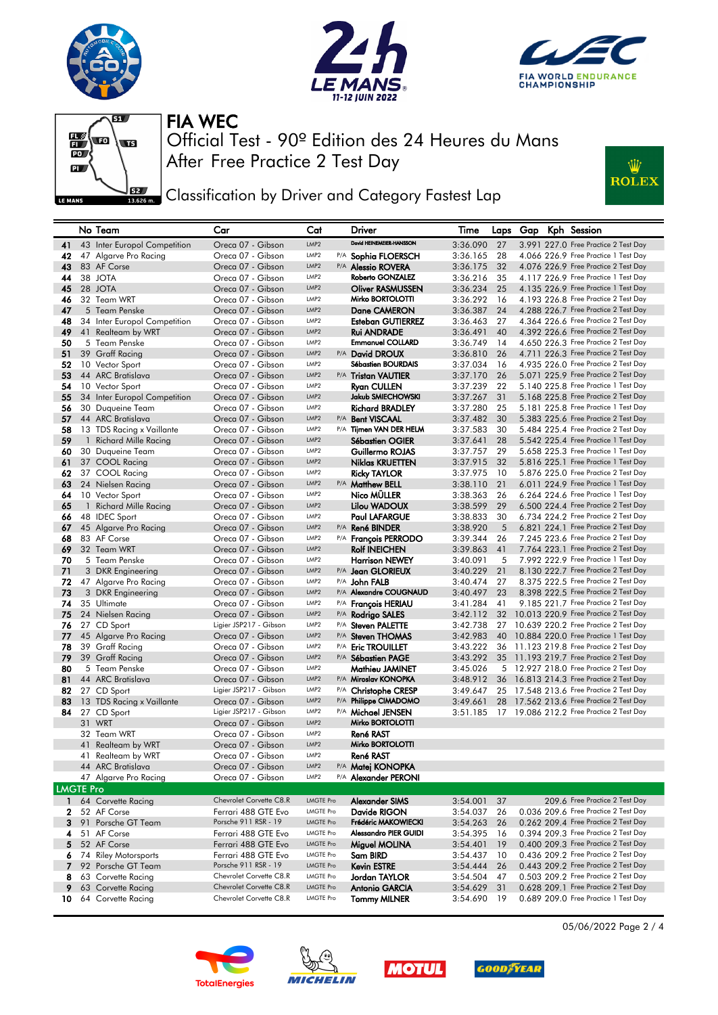









**EXALC** Classification by Driver and Category Fastest Lap

|                  | No Team                                | Car                                         | Cat                                  |     | Driver                              | Time                 |          |  | Laps Gap Kph Session                                                         |
|------------------|----------------------------------------|---------------------------------------------|--------------------------------------|-----|-------------------------------------|----------------------|----------|--|------------------------------------------------------------------------------|
| 41               | 43 Inter Europol Competition           | Oreca 07 - Gibson                           | LMP2                                 |     | David HEINEMEIER-HANSSON            | 3:36.090             | 27       |  | 3.991 227.0 Free Practice 2 Test Day                                         |
| 42               | 47 Algarve Pro Racing                  | Oreca 07 - Gibson                           | LMP <sub>2</sub>                     |     | P/A Sophia FLOERSCH                 | 3:36.165             | 28       |  | 4.066 226.9 Free Practice 1 Test Day                                         |
| 43               | 83 AF Corse                            | Oreca 07 - Gibson                           | LMP <sub>2</sub>                     |     | P/A <b>Alessio ROVERA</b>           | 3:36.175             | 32       |  | 4.076 226.9 Free Practice 2 Test Day                                         |
| 44               | 38 JOTA                                | Oreca 07 - Gibson                           | LMP <sub>2</sub>                     |     | Roberto GONZALEZ                    | 3:36.216             | 35       |  | 4.117 226.9 Free Practice 1 Test Day                                         |
| 45               | 28 JOTA                                | Oreca 07 - Gibson                           | LMP <sub>2</sub>                     |     | <b>Oliver RASMUSSEN</b>             | 3:36.234             | 25       |  | 4.135 226.9 Free Practice 1 Test Day                                         |
| 46               | 32 Team WRT                            | Oreca 07 - Gibson                           | LMP <sub>2</sub>                     |     | Mirko BORTOLOTTI                    | 3:36.292             | - 16     |  | 4.193 226.8 Free Practice 2 Test Day                                         |
| 47               | 5 Team Penske                          | Oreca 07 - Gibson                           | LMP <sub>2</sub>                     |     | Dane CAMERON                        | 3:36.387             | 24       |  | 4.288 226.7 Free Practice 2 Test Day                                         |
| 48               | 34 Inter Europol Competition           | Oreca 07 - Gibson                           | LMP <sub>2</sub>                     |     | Esteban GUTIERREZ                   | 3:36.463             | 27       |  | 4.364 226.6 Free Practice 2 Test Day                                         |
| 49               | 41 Realteam by WRT                     | Oreca 07 - Gibson                           | LMP <sub>2</sub>                     |     | <b>Rui ANDRADE</b>                  | 3:36.491             | 40       |  | 4.392 226.6 Free Practice 2 Test Day                                         |
| 50               | 5 Team Penske                          | Oreca 07 - Gibson                           | LMP2                                 |     | <b>Emmanuel COLLARD</b>             | 3:36.749             | 14       |  | 4.650 226.3 Free Practice 2 Test Day                                         |
| 51               | 39 Graff Racing                        | Oreca 07 - Gibson                           | LMP <sub>2</sub>                     |     | P/A David DROUX                     | 3:36.810             | 26       |  | 4.711 226.3 Free Practice 2 Test Day                                         |
| 52               | 10 Vector Sport                        | Oreca 07 - Gibson                           | LMP <sub>2</sub>                     |     | Sébastien BOURDAIS                  | 3:37.034             | - 16     |  | 4.935 226.0 Free Practice 2 Test Day                                         |
| 53               | 44 ARC Bratislava                      | Oreca 07 - Gibson                           | LMP <sub>2</sub>                     |     | P/A Tristan VAUTIER                 | 3:37.170             | 26       |  | 5.071 225.9 Free Practice 2 Test Day                                         |
| 54               | 10 Vector Sport                        | Oreca 07 - Gibson                           | LMP <sub>2</sub>                     |     | <b>Ryan CULLEN</b>                  | 3:37.239             | 22       |  | 5.140 225.8 Free Practice 1 Test Day                                         |
| 55               | 34 Inter Europol Competition           | Oreca 07 - Gibson                           | LMP <sub>2</sub>                     |     | <b>Jakub SMIECHOWSKI</b>            | 3:37.267             | 31       |  | 5.168 225.8 Free Practice 2 Test Day                                         |
| 56               | 30 Duqueine Team                       | Oreca 07 - Gibson                           | LMP <sub>2</sub>                     |     | <b>Richard BRADLEY</b>              | 3:37.280             | 25       |  | 5.181 225.8 Free Practice 1 Test Day                                         |
| 57               | 44 ARC Bratislava                      | Oreca 07 - Gibson                           | LMP <sub>2</sub>                     |     | P/A Bent VISCAAL                    | 3:37.482             | 30       |  | 5.383 225.6 Free Practice 2 Test Day                                         |
| 58               | 13 TDS Racing x Vaillante              | Oreca 07 - Gibson                           | LMP <sub>2</sub>                     |     | P/A Tijmen VAN DER HELM             | 3:37.583             | 30       |  | 5.484 225.4 Free Practice 2 Test Day                                         |
| 59               | 1 Richard Mille Racing                 | Oreca 07 - Gibson                           | LMP <sub>2</sub>                     |     | Sébastien OGIER                     | 3:37.641             | 28       |  | 5.542 225.4 Free Practice 1 Test Day                                         |
| 60               | 30 Duqueine Team                       | Oreca 07 - Gibson                           | LMP2                                 |     | Guillermo ROJAS                     | 3:37.757             | 29       |  | 5.658 225.3 Free Practice 1 Test Day                                         |
| 61               | 37 COOL Racing                         | Oreca 07 - Gibson                           | LMP <sub>2</sub>                     |     | Niklas KRUETTEN                     | 3:37.915             | 32       |  | 5.816 225.1 Free Practice 1 Test Day                                         |
| 62               | 37 COOL Racing                         | Oreca 07 - Gibson                           | LMP <sub>2</sub>                     |     | <b>Ricky TAYLOR</b>                 | 3:37.975             | - 10     |  | 5.876 225.0 Free Practice 2 Test Day                                         |
| 63               | 24 Nielsen Racing                      | Oreca 07 - Gibson                           | LMP <sub>2</sub><br>LMP <sub>2</sub> |     | P/A Matthew BELL                    | 3:38.110             | 21       |  | 6.011 224.9 Free Practice 1 Test Day<br>6.264 224.6 Free Practice 1 Test Day |
| 64               | 10 Vector Sport                        | Oreca 07 - Gibson                           | LMP <sub>2</sub>                     |     | Nico MÜLLER<br>Lilou WADOUX         | 3:38.363             | 26       |  | 6.500 224.4 Free Practice 2 Test Day                                         |
| 65<br>66         | 1 Richard Mille Racing                 | Oreca 07 - Gibson<br>Oreca 07 - Gibson      | LMP <sub>2</sub>                     |     | <b>Paul LAFARGUE</b>                | 3:38.599             | 29<br>30 |  | 6.734 224.2 Free Practice 2 Test Day                                         |
| 67               | 48 IDEC Sport<br>45 Algarve Pro Racing | Oreca 07 - Gibson                           | LMP <sub>2</sub>                     |     | P/A René BINDER                     | 3:38.833<br>3:38.920 | 5        |  | 6.821 224.1 Free Practice 2 Test Day                                         |
| 68               | 83 AF Corse                            | Oreca 07 - Gibson                           | LMP <sub>2</sub>                     |     | P/A Francois PERRODO                | 3:39.344             | 26       |  | 7.245 223.6 Free Practice 2 Test Day                                         |
| 69               | 32 Team WRT                            | Oreca 07 - Gibson                           | LMP <sub>2</sub>                     |     | <b>Rolf INEICHEN</b>                | 3:39.863             | 41       |  | 7.764 223.1 Free Practice 2 Test Day                                         |
| 70               | 5 Team Penske                          | Oreca 07 - Gibson                           | LMP <sub>2</sub>                     |     | <b>Harrison NEWEY</b>               | 3:40.091             | 5        |  | 7.992 222.9 Free Practice 1 Test Day                                         |
| 71               | 3 DKR Engineering                      | Oreca 07 - Gibson                           | LMP <sub>2</sub>                     |     | P/A Jean GLORIEUX                   | 3:40.229             | 21       |  | 8.130 222.7 Free Practice 2 Test Day                                         |
| 72               | 47 Algarve Pro Racing                  | Oreca 07 - Gibson                           | LMP <sub>2</sub>                     |     | P/A <b>John FALB</b>                | 3:40.474             | 27       |  | 8.375 222.5 Free Practice 2 Test Day                                         |
| 73               | 3 DKR Engineering                      | Oreca 07 - Gibson                           | LMP <sub>2</sub>                     |     | P/A Alexandre COUGNAUD              | 3:40.497             | 23       |  | 8.398 222.5 Free Practice 2 Test Day                                         |
| 74               | 35 Ultimate                            | Oreca 07 - Gibson                           | LMP <sub>2</sub>                     |     | P/A <b>François HERIAU</b>          | 3:41.284             | 41       |  | 9.185 221.7 Free Practice 2 Test Day                                         |
| 75               | 24 Nielsen Racing                      | Oreca 07 - Gibson                           | LMP <sub>2</sub>                     | P/A | Rodrigo SALES                       | 3:42.112             | 32       |  | 10.013 220.9 Free Practice 2 Test Day                                        |
| 76               | 27 CD Sport                            | Ligier JSP217 - Gibson                      | LMP <sub>2</sub>                     |     | P/A Steven PALETTE                  | 3:42.738             | 27       |  | 10.639 220.2 Free Practice 2 Test Day                                        |
| 77               | 45 Algarve Pro Racing                  | Oreca 07 - Gibson                           | LMP <sub>2</sub>                     |     | P/A Steven THOMAS                   | 3:42.983             | 40       |  | 10.884 220.0 Free Practice 1 Test Day                                        |
| 78               | 39 Graff Racing                        | Oreca 07 - Gibson                           | LMP <sub>2</sub>                     |     | P/A Eric TROUILLET                  | 3:43.222             |          |  | 36 11.123 219.8 Free Practice 2 Test Day                                     |
| 79               | 39 Graff Racing                        | Oreca 07 - Gibson                           | LMP <sub>2</sub>                     |     | P/A Sébastien PAGE                  | 3:43.292             |          |  | 35 11.193 219.7 Free Practice 2 Test Day                                     |
| 80               | 5 Team Penske                          | Oreca 07 - Gibson                           | LMP <sub>2</sub>                     |     | Mathieu JAMINET                     | 3:45.026             |          |  | 5 12.927 218.0 Free Practice 2 Test Day                                      |
| 81               | 44 ARC Bratislava                      | Oreca 07 - Gibson                           | LMP <sub>2</sub>                     |     | P/A Miroslav KONOPKA                | 3:48.912             |          |  | 36 16.813 214.3 Free Practice 2 Test Day                                     |
| 82               | 27 CD Sport                            | Ligier JSP217 - Gibson                      | LMP <sub>2</sub>                     |     | P/A Christophe CRESP                |                      |          |  | 3:49.647 25 17.548 213.6 Free Practice 2 Test Day                            |
| 83               | 13 TDS Racing x Vaillante              | Oreca 07 - Gibson                           | LMP <sub>2</sub>                     |     | P/A Philippe CIMADOMO               | 3:49.661             |          |  | 28 17.562 213.6 Free Practice 2 Test Day                                     |
| 84               | 27 CD Sport                            | Ligier JSP217 - Gibson                      | LMP <sub>2</sub>                     |     | P/A Michael JENSEN                  |                      |          |  | 3:51.185 17 19.086 212.2 Free Practice 2 Test Day                            |
|                  | 31 WRT                                 | Oreca 07 - Gibson                           | LMP <sub>2</sub>                     |     | Mirko BORTOLOTTI                    |                      |          |  |                                                                              |
|                  | 32 Team WRT                            | Oreca 07 - Gibson                           | LMP <sub>2</sub>                     |     | <b>René RAST</b>                    |                      |          |  |                                                                              |
|                  | 41 Realteam by WRT                     | Oreca 07 - Gibson                           | LMP <sub>2</sub>                     |     | Mirko BORTOLOTTI                    |                      |          |  |                                                                              |
|                  | 41 Realteam by WRT                     | Oreca 07 - Gibson                           | LMP <sub>2</sub><br>LMP2             |     | René RAST                           |                      |          |  |                                                                              |
|                  | 44 ARC Bratislava                      | Oreca 07 - Gibson                           | LMP <sub>2</sub>                     |     | P/A Matej KONOPKA                   |                      |          |  |                                                                              |
|                  | 47 Algarve Pro Racing                  | Oreca 07 - Gibson                           |                                      |     | P/A Alexander PERONI                |                      |          |  |                                                                              |
| <b>LMGTE Pro</b> |                                        | Chevrolet Corvette C8.R                     | <b>LMGTE Pro</b>                     |     | <b>Alexander SIMS</b>               |                      |          |  | 209.6 Free Practice 2 Test Day                                               |
| 1                | 64 Corvette Racing                     |                                             | LMGTE Pro                            |     |                                     | 3:54.001             | 37       |  | 0.036 209.6 Free Practice 2 Test Day                                         |
| 2<br>3           | 52 AF Corse<br>91 Porsche GT Team      | Ferrari 488 GTE Evo<br>Porsche 911 RSR - 19 | <b>LMGTE Pro</b>                     |     | Davide RIGON<br>Frédéric MAKOWIECKI | 3:54.037             | 26       |  | 0.262 209.4 Free Practice 2 Test Day                                         |
| 4                | 51 AF Corse                            | Ferrari 488 GTE Evo                         | LMGTE Pro                            |     | Alessandro PIER GUIDI               | 3:54.263<br>3:54.395 | 26<br>16 |  | 0.394 209.3 Free Practice 2 Test Day                                         |
| 5.               | 52 AF Corse                            | Ferrari 488 GTE Evo                         | <b>LMGTE Pro</b>                     |     | Miguel MOLINA                       | 3:54.401             | 19       |  | 0.400 209.3 Free Practice 2 Test Day                                         |
| 6.               | 74 Riley Motorsports                   | Ferrari 488 GTE Evo                         | LMGTE Pro                            |     | Sam BIRD                            | 3:54.437             | 10       |  | 0.436 209.2 Free Practice 2 Test Day                                         |
| 7                | 92 Porsche GT Team                     | Porsche 911 RSR - 19                        | <b>LMGTE Pro</b>                     |     | <b>Kevin ESTRE</b>                  | 3:54.444             | 26       |  | 0.443 209.2 Free Practice 2 Test Day                                         |
| 8                | 63 Corvette Racing                     | Chevrolet Corvette C8.R                     | LMGTE Pro                            |     | Jordan TAYLOR                       | 3:54.504             | 47       |  | 0.503 209.2 Free Practice 2 Test Day                                         |
| 9                | 63 Corvette Racing                     | Chevrolet Corvette C8.R                     | LMGTE Pro                            |     | Antonio GARCIA                      | 3:54.629             | 31       |  | 0.628 209.1 Free Practice 2 Test Day                                         |
| 10               | 64 Corvette Racing                     | Chevrolet Corvette C8.R                     | LMGTE Pro                            |     | <b>Tommy MILNER</b>                 | 3:54.690 19          |          |  | 0.689 209.0 Free Practice 1 Test Day                                         |
|                  |                                        |                                             |                                      |     |                                     |                      |          |  |                                                                              |









05/06/2022 Page 2 / 4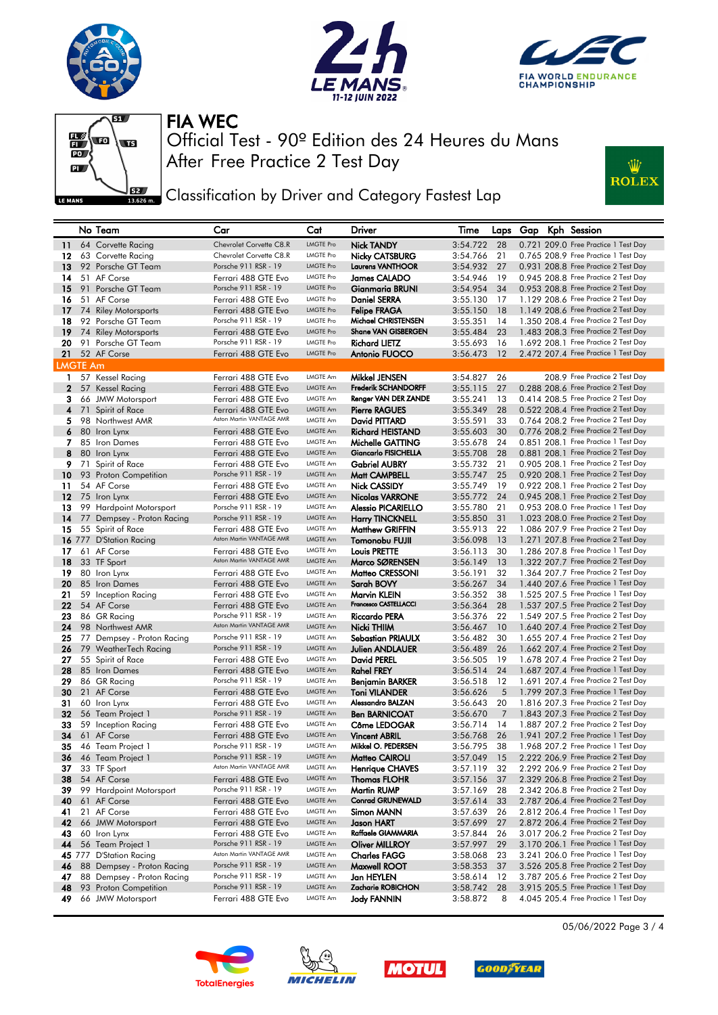









Classification by Driver and Category Fastest Lap

|                 | No Team                       | Car                                         | Cat              | Driver                      | Time        |      |  | Laps Gap Kph Session                 |
|-----------------|-------------------------------|---------------------------------------------|------------------|-----------------------------|-------------|------|--|--------------------------------------|
|                 | 11 64 Corvette Racing         | Chevrolet Corvette C8.R                     | <b>LMGTE Pro</b> | <b>Nick TANDY</b>           | 3:54.722    | -28  |  | 0.721 209.0 Free Practice 1 Test Day |
| 12              | 63 Corvette Racing            | Chevrolet Corvette C8.R                     | <b>LMGTE Pro</b> | Nicky CATSBURG              | 3:54.766    | 21   |  | 0.765 208.9 Free Practice 1 Test Day |
| 13              | 92 Porsche GT Team            | Porsche 911 RSR - 19                        | <b>LMGTE Pro</b> | <b>Laurens VANTHOOR</b>     | 3:54.932    | 27   |  | 0.931 208.8 Free Practice 2 Test Day |
| 14              | 51 AF Corse                   | Ferrari 488 GTE Evo                         | <b>LMGTE Pro</b> | <b>James CALADO</b>         | 3:54.946    | 19   |  | 0.945 208.8 Free Practice 2 Test Day |
| 15              | 91 Porsche GT Team            | Porsche 911 RSR - 19                        | <b>LMGTE Pro</b> | Gianmaria BRUNI             | 3:54.954    | 34   |  | 0.953 208.8 Free Practice 2 Test Day |
| 16              | 51 AF Corse                   | Ferrari 488 GTE Evo                         | <b>LMGTE Pro</b> | <b>Daniel SERRA</b>         | 3:55.130    | 17   |  | 1.129 208.6 Free Practice 2 Test Day |
| 17              | 74 Riley Motorsports          | Ferrari 488 GTE Evo                         | <b>LMGTE Pro</b> | <b>Felipe FRAGA</b>         | 3:55.150    | 18   |  | 1.149 208.6 Free Practice 2 Test Day |
|                 |                               | Porsche 911 RSR - 19                        | <b>LMGTE Pro</b> | Michael CHRISTENSEN         |             |      |  | 1.350 208.4 Free Practice 2 Test Day |
| 18              | 92 Porsche GT Team            |                                             | <b>LMGTE Pro</b> | Shane VAN GISBERGEN         | 3:55.351    | 14   |  |                                      |
| 19              | 74 Riley Motorsports          | Ferrari 488 GTE Evo<br>Porsche 911 RSR - 19 | <b>LMGTE Pro</b> |                             | 3:55.484    | 23   |  | 1.483 208.3 Free Practice 2 Test Day |
|                 | 20 91 Porsche GT Team         |                                             | <b>LMGTE Pro</b> | <b>Richard LIETZ</b>        | 3:55.693    | 16   |  | 1.692 208.1 Free Practice 2 Test Day |
|                 | 21 52 AF Corse                | Ferrari 488 GTE Evo                         |                  | Antonio FUOCO               | 3:56.473    | 12   |  | 2.472 207.4 Free Practice 1 Test Day |
| <b>LMGTE Am</b> |                               |                                             |                  |                             |             |      |  |                                      |
|                 | 1 57 Kessel Racing            | Ferrari 488 GTE Evo                         | LMGTE Am         | <b>Mikkel JENSEN</b>        | 3:54.827    | 26   |  | 208.9 Free Practice 2 Test Day       |
|                 | 2 57 Kessel Racing            | Ferrari 488 GTE Evo                         | LMGTE Am         | <b>Frederik SCHANDORFF</b>  | 3:55.115    | -27  |  | 0.288 208.6 Free Practice 2 Test Day |
| 3               | 66 JMW Motorsport             | Ferrari 488 GTE Evo                         | LMGTE Am         | Renger VAN DER ZANDE        | 3:55.241    | 13   |  | 0.414 208.5 Free Practice 2 Test Day |
|                 | 4 71 Spirit of Race           | Ferrari 488 GTE Evo                         | LMGTE Am         | <b>Pierre RAGUES</b>        | 3:55.349    | 28   |  | 0.522 208.4 Free Practice 2 Test Day |
| 5.              | 98 Northwest AMR              | Aston Martin VANTAGE AMR                    | LMGTE Am         | David PITTARD               | 3:55.591    | 33   |  | 0.764 208.2 Free Practice 2 Test Day |
|                 | 6 80 Iron Lynx                | Ferrari 488 GTE Evo                         | LMGTE Am         | <b>Richard HEISTAND</b>     | 3:55.603    | 30   |  | 0.776 208.2 Free Practice 2 Test Day |
| 7               | 85 Iron Dames                 | Ferrari 488 GTE Evo                         | LMGTE Am         | Michelle GATTING            | 3:55.678    | 24   |  | 0.851 208.1 Free Practice 1 Test Day |
| 8               | 80 Iron Lynx                  | Ferrari 488 GTE Evo                         | LMGTE Am         | <b>Giancarlo FISICHELLA</b> | 3:55.708    | - 28 |  | 0.881 208.1 Free Practice 2 Test Day |
| 9.              | 71 Spirit of Race             | Ferrari 488 GTE Evo                         | LMGTE Am         | <b>Gabriel AUBRY</b>        | 3:55.732    | 21   |  | 0.905 208.1 Free Practice 2 Test Day |
| 10              | 93 Proton Competition         | Porsche 911 RSR - 19                        | LMGTE Am         | Matt CAMPBELL               | 3:55.747 25 |      |  | 0.920 208.1 Free Practice 2 Test Day |
| 11.             | 54 AF Corse                   | Ferrari 488 GTE Evo                         | LMGTE Am         | <b>Nick CASSIDY</b>         | 3:55.749    | -19  |  | 0.922 208.1 Free Practice 2 Test Day |
| 12              | 75 Iron Lynx                  | Ferrari 488 GTE Evo                         | LMGTE Am         | <b>Nicolas VARRONE</b>      | 3:55.772    | - 24 |  | 0.945 208.1 Free Practice 2 Test Day |
| 13              | 99 Hardpoint Motorsport       | Porsche 911 RSR - 19                        | LMGTE Am         | <b>Alessio PICARIELLO</b>   | 3:55.780    | 21   |  | 0.953 208.0 Free Practice 1 Test Day |
|                 | 14 77 Dempsey - Proton Racing | Porsche 911 RSR - 19                        | LMGTE Am         | <b>Harry TINCKNELL</b>      | 3:55.850    | - 31 |  | 1.023 208.0 Free Practice 2 Test Day |
| 15              | 55 Spirit of Race             | Ferrari 488 GTE Evo                         | LMGTE Am         | <b>Matthew GRIFFIN</b>      | 3:55.913    | 22   |  | 1.086 207.9 Free Practice 2 Test Day |
|                 | 16 777 D'Station Racing       | Aston Martin VANTAGE AMR                    | LMGTE Am         | Tomonobu FUJII              | 3:56.098    | - 13 |  | 1.271 207.8 Free Practice 2 Test Day |
| 17              | 61 AF Corse                   | Ferrari 488 GTE Evo                         | LMGTE Am         | Louis PRETTE                | 3:56.113    | 30   |  | 1.286 207.8 Free Practice 1 Test Day |
| 18              | 33 TF Sport                   | Aston Martin VANTAGE AMR                    | LMGTE Am         | Marco SØRENSEN              | 3:56.149    | 13   |  | 1.322 207.7 Free Practice 2 Test Day |
| 19              | 80 Iron Lynx                  | Ferrari 488 GTE Evo                         | LMGTE Am         | Matteo CRESSONI             | 3:56.191    | 32   |  | 1.364 207.7 Free Practice 2 Test Day |
| 20              | 85 Iron Dames                 | Ferrari 488 GTE Evo                         | LMGTE Am         | Sarah BOVY                  | 3:56.267    | -34  |  | 1.440 207.6 Free Practice 1 Test Day |
| 21              | 59 Inception Racing           | Ferrari 488 GTE Evo                         | LMGTE Am         | Marvin KLEIN                | 3:56.352    | 38   |  | 1.525 207.5 Free Practice 1 Test Day |
| 22              | 54 AF Corse                   | Ferrari 488 GTE Evo                         | <b>LMGTE Am</b>  | Francesco CASTELLACCI       | 3:56.364    | 28   |  | 1.537 207.5 Free Practice 2 Test Day |
| 23              | 86 GR Racing                  | Porsche 911 RSR - 19                        | LMGTE Am         | <b>Riccardo PERA</b>        | 3:56.376    | 22   |  | 1.549 207.5 Free Practice 2 Test Day |
| 24              | 98 Northwest AMR              | Aston Martin VANTAGE AMR                    | <b>LMGTE Am</b>  | Nicki THIIM                 | 3:56.467    | 10   |  | 1.640 207.4 Free Practice 2 Test Day |
| 25              | 77 Dempsey - Proton Racing    | Porsche 911 RSR - 19                        | LMGTE Am         | Sebastian PRIAULX           | 3:56.482    | 30   |  | 1.655 207.4 Free Practice 2 Test Day |
| 26              | 79 WeatherTech Racing         | Porsche 911 RSR - 19                        | <b>LMGTE Am</b>  | <b>Julien ANDLAUER</b>      | 3:56.489    | 26   |  | 1.662 207.4 Free Practice 2 Test Day |
| 27              | 55 Spirit of Race             | Ferrari 488 GTE Evo                         | LMGTE Am         | David PEREL                 | 3:56.505    | -19  |  | 1.678 207.4 Free Practice 2 Test Day |
| 28              | 85 Iron Dames                 | Ferrari 488 GTE Evo                         | LMGTE Am         | <b>Rahel FREY</b>           | 3:56.514    | -24  |  | 1.687 207.4 Free Practice 1 Test Day |
| 29              | 86 GR Racing                  | Porsche 911 RSR - 19                        | LMGTE Am         | Benjamin BARKER             | 3:56.518    | 12   |  | 1.691 207.4 Free Practice 2 Test Day |
| 30              | 21 AF Corse                   | Ferrari 488 GTE Evo                         | LMGTE Am         | <b>Toni VILANDER</b>        | 3:56.626    | 5    |  | 1.799 207.3 Free Practice 1 Test Day |
| 31              | 60 Iron Lynx                  | Ferrari 488 GTE Evo                         | LMGTE Am         | Alessandro BALZAN           | 3:56.643    | 20   |  | 1.816 207.3 Free Practice 2 Test Day |
| 32              | 56 Team Project 1             | Porsche 911 RSR - 19                        | LMGTE Am         | <b>Ben BARNICOAT</b>        | 3:56.670    | 7    |  | 1.843 207.3 Free Practice 2 Test Day |
| 33              | 59 Inception Racing           | Ferrari 488 GTE Evo                         | LMGTE Am         | Côme LEDOGAR                | 3:56.714    | 14   |  | 1,887 207.2 Free Practice 2 Test Day |
| 34              | 61 AF Corse                   | Ferrari 488 GTE Evo                         | <b>LMGTE Am</b>  | <b>Vincent ABRIL</b>        | 3:56.768    | 26   |  | 1.941 207.2 Free Practice 1 Test Day |
| 35              | 46 Team Project 1             | Porsche 911 RSR - 19                        | <b>LMGTE Am</b>  | Mikkel O. PEDERSEN          | 3:56.795    | 38   |  | 1.968 207.2 Free Practice 1 Test Day |
| 36              | 46 Team Project 1             | Porsche 911 RSR - 19                        | LMGTE Am         | Matteo CAIROLI              | 3:57.049 15 |      |  | 2.222 206.9 Free Practice 2 Test Day |
|                 | 37 33 TF Sport                | Aston Martin VANTAGE AMR                    | <b>LMGTE Am</b>  | <b>Henrique CHAVES</b>      | 3:57.119 32 |      |  | 2.292 206.9 Free Practice 2 Test Day |
| 38              | 54 AF Corse                   | Ferrari 488 GTE Evo                         | LMGTE Am         | <b>Thomas FLOHR</b>         | 3:57.156 37 |      |  | 2.329 206.8 Free Practice 2 Test Day |
| 39              | 99 Hardpoint Motorsport       | Porsche 911 RSR - 19                        | LMGTE Am         | <b>Martin RUMP</b>          | 3:57.169    | 28   |  | 2,342 206.8 Free Practice 2 Test Day |
|                 | 40 61 AF Corse                | Ferrari 488 GTE Evo                         | <b>LMGTE Am</b>  | <b>Conrad GRUNEWALD</b>     | 3:57.614    | 33   |  | 2.787 206.4 Free Practice 2 Test Day |
| 41              | 21 AF Corse                   | Ferrari 488 GTE Evo                         | LMGTE Am         | Simon MANN                  | 3:57.639    | 26   |  | 2.812 206.4 Free Practice 1 Test Day |
| 42              | 66 JMW Motorsport             | Ferrari 488 GTE Evo                         | LMGTE Am         | Jason HART                  | 3:57.699 27 |      |  | 2.872 206.4 Free Practice 2 Test Day |
| 43              | 60 Iron Lynx                  | Ferrari 488 GTE Evo                         | LMGTE Am         | Raffaele GIAMMARIA          | 3:57.844    | 26   |  | 3.017 206.2 Free Practice 2 Test Day |
|                 | 44 56 Team Project 1          | Porsche 911 RSR - 19                        | LMGTE Am         | <b>Oliver MILLROY</b>       | 3:57.997    | 29   |  | 3.170 206.1 Free Practice 1 Test Day |
|                 | 45 777 D'Station Racing       | Aston Martin VANTAGE AMR                    | LMGTE Am         | <b>Charles FAGG</b>         | 3:58.068    | 23   |  | 3.241 206.0 Free Practice 1 Test Day |
|                 | 46 88 Dempsey - Proton Racing | Porsche 911 RSR - 19                        | LMGTE Am         | Maxwell ROOT                | 3:58.353    | - 37 |  | 3.526 205.8 Free Practice 2 Test Day |
| 47              | 88 Dempsey - Proton Racing    | Porsche 911 RSR - 19                        | LMGTE Am         | Jan HEYLEN                  | 3:58.614    | 12   |  | 3.787 205.6 Free Practice 2 Test Day |
| 48              | 93 Proton Competition         | Porsche 911 RSR - 19                        | LMGTE Am         | Zacharie ROBICHON           | 3:58.742 28 |      |  | 3.915 205.5 Free Practice 1 Test Day |
| 49              | 66 JMW Motorsport             | Ferrari 488 GTE Evo                         | LMGTE Am         | Jody FANNIN                 | 3:58.872    | 8    |  | 4.045 205.4 Free Practice 1 Test Day |
|                 |                               |                                             |                  |                             |             |      |  |                                      |









05/06/2022 Page 3 / 4